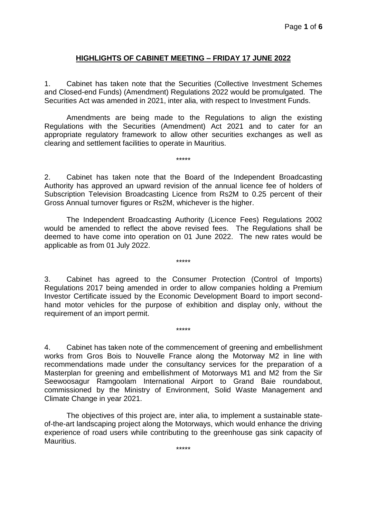## **HIGHLIGHTS OF CABINET MEETING – FRIDAY 17 JUNE 2022**

1. Cabinet has taken note that the Securities (Collective Investment Schemes and Closed-end Funds) (Amendment) Regulations 2022 would be promulgated. The Securities Act was amended in 2021, inter alia, with respect to Investment Funds.

Amendments are being made to the Regulations to align the existing Regulations with the Securities (Amendment) Act 2021 and to cater for an appropriate regulatory framework to allow other securities exchanges as well as clearing and settlement facilities to operate in Mauritius.

\*\*\*\*\*

2. Cabinet has taken note that the Board of the Independent Broadcasting Authority has approved an upward revision of the annual licence fee of holders of Subscription Television Broadcasting Licence from Rs2M to 0.25 percent of their Gross Annual turnover figures or Rs2M, whichever is the higher.

The Independent Broadcasting Authority (Licence Fees) Regulations 2002 would be amended to reflect the above revised fees. The Regulations shall be deemed to have come into operation on 01 June 2022. The new rates would be applicable as from 01 July 2022.

\*\*\*\*\*

3. Cabinet has agreed to the Consumer Protection (Control of Imports) Regulations 2017 being amended in order to allow companies holding a Premium Investor Certificate issued by the Economic Development Board to import secondhand motor vehicles for the purpose of exhibition and display only, without the requirement of an import permit.

\*\*\*\*\*

4. Cabinet has taken note of the commencement of greening and embellishment works from Gros Bois to Nouvelle France along the Motorway M2 in line with recommendations made under the consultancy services for the preparation of a Masterplan for greening and embellishment of Motorways M1 and M2 from the Sir Seewoosagur Ramgoolam International Airport to Grand Baie roundabout, commissioned by the Ministry of Environment, Solid Waste Management and Climate Change in year 2021.

The objectives of this project are, inter alia, to implement a sustainable stateof-the-art landscaping project along the Motorways, which would enhance the driving experience of road users while contributing to the greenhouse gas sink capacity of Mauritius.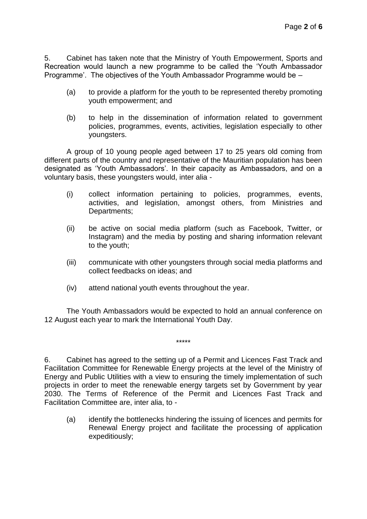5. Cabinet has taken note that the Ministry of Youth Empowerment, Sports and Recreation would launch a new programme to be called the 'Youth Ambassador Programme'. The objectives of the Youth Ambassador Programme would be –

- (a) to provide a platform for the youth to be represented thereby promoting youth empowerment; and
- (b) to help in the dissemination of information related to government policies, programmes, events, activities, legislation especially to other youngsters.

A group of 10 young people aged between 17 to 25 years old coming from different parts of the country and representative of the Mauritian population has been designated as 'Youth Ambassadors'. In their capacity as Ambassadors, and on a voluntary basis, these youngsters would, inter alia -

- (i) collect information pertaining to policies, programmes, events, activities, and legislation, amongst others, from Ministries and Departments;
- (ii) be active on social media platform (such as Facebook, Twitter, or Instagram) and the media by posting and sharing information relevant to the youth;
- (iii) communicate with other youngsters through social media platforms and collect feedbacks on ideas; and
- (iv) attend national youth events throughout the year.

The Youth Ambassadors would be expected to hold an annual conference on 12 August each year to mark the International Youth Day.

\*\*\*\*\*

6. Cabinet has agreed to the setting up of a Permit and Licences Fast Track and Facilitation Committee for Renewable Energy projects at the level of the Ministry of Energy and Public Utilities with a view to ensuring the timely implementation of such projects in order to meet the renewable energy targets set by Government by year 2030. The Terms of Reference of the Permit and Licences Fast Track and Facilitation Committee are, inter alia, to -

(a) identify the bottlenecks hindering the issuing of licences and permits for Renewal Energy project and facilitate the processing of application expeditiously;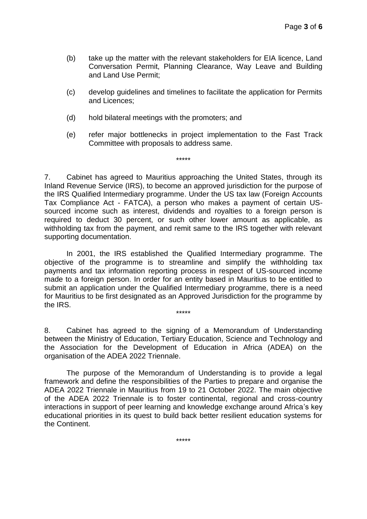- (b) take up the matter with the relevant stakeholders for EIA licence, Land Conversation Permit, Planning Clearance, Way Leave and Building and Land Use Permit;
- (c) develop guidelines and timelines to facilitate the application for Permits and Licences;
- (d) hold bilateral meetings with the promoters; and
- (e) refer major bottlenecks in project implementation to the Fast Track Committee with proposals to address same.

7. Cabinet has agreed to Mauritius approaching the United States, through its Inland Revenue Service (IRS), to become an approved jurisdiction for the purpose of the IRS Qualified Intermediary programme. Under the US tax law (Foreign Accounts Tax Compliance Act - FATCA), a person who makes a payment of certain USsourced income such as interest, dividends and royalties to a foreign person is required to deduct 30 percent, or such other lower amount as applicable, as withholding tax from the payment, and remit same to the IRS together with relevant supporting documentation.

\*\*\*\*\*

In 2001, the IRS established the Qualified Intermediary programme. The objective of the programme is to streamline and simplify the withholding tax payments and tax information reporting process in respect of US-sourced income made to a foreign person. In order for an entity based in Mauritius to be entitled to submit an application under the Qualified Intermediary programme, there is a need for Mauritius to be first designated as an Approved Jurisdiction for the programme by the IRS. \*\*\*\*\*

8. Cabinet has agreed to the signing of a Memorandum of Understanding between the Ministry of Education, Tertiary Education, Science and Technology and the Association for the Development of Education in Africa (ADEA) on the organisation of the ADEA 2022 Triennale.

The purpose of the Memorandum of Understanding is to provide a legal framework and define the responsibilities of the Parties to prepare and organise the ADEA 2022 Triennale in Mauritius from 19 to 21 October 2022. The main objective of the ADEA 2022 Triennale is to foster continental, regional and cross-country interactions in support of peer learning and knowledge exchange around Africa's key educational priorities in its quest to build back better resilient education systems for the Continent.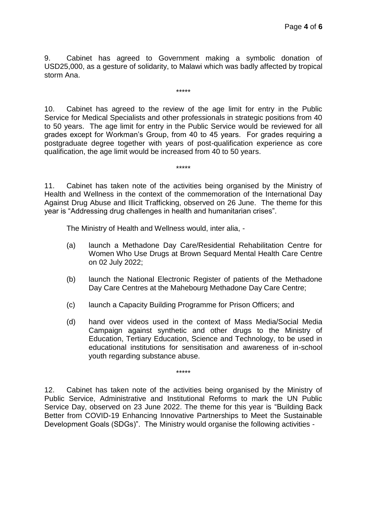9. Cabinet has agreed to Government making a symbolic donation of USD25,000, as a gesture of solidarity, to Malawi which was badly affected by tropical storm Ana.

\*\*\*\*\*

10. Cabinet has agreed to the review of the age limit for entry in the Public Service for Medical Specialists and other professionals in strategic positions from 40 to 50 years. The age limit for entry in the Public Service would be reviewed for all grades except for Workman's Group, from 40 to 45 years. For grades requiring a postgraduate degree together with years of post-qualification experience as core qualification, the age limit would be increased from 40 to 50 years.

11. Cabinet has taken note of the activities being organised by the Ministry of Health and Wellness in the context of the commemoration of the International Day Against Drug Abuse and Illicit Trafficking, observed on 26 June. The theme for this year is "Addressing drug challenges in health and humanitarian crises".

\*\*\*\*\*

The Ministry of Health and Wellness would, inter alia, -

- (a) launch a Methadone Day Care/Residential Rehabilitation Centre for Women Who Use Drugs at Brown Sequard Mental Health Care Centre on 02 July 2022;
- (b) launch the National Electronic Register of patients of the Methadone Day Care Centres at the Mahebourg Methadone Day Care Centre;
- (c) launch a Capacity Building Programme for Prison Officers; and
- (d) hand over videos used in the context of Mass Media/Social Media Campaign against synthetic and other drugs to the Ministry of Education, Tertiary Education, Science and Technology, to be used in educational institutions for sensitisation and awareness of in-school youth regarding substance abuse.

12. Cabinet has taken note of the activities being organised by the Ministry of Public Service, Administrative and Institutional Reforms to mark the UN Public Service Day, observed on 23 June 2022. The theme for this year is "Building Back Better from COVID-19 Enhancing Innovative Partnerships to Meet the Sustainable Development Goals (SDGs)". The Ministry would organise the following activities -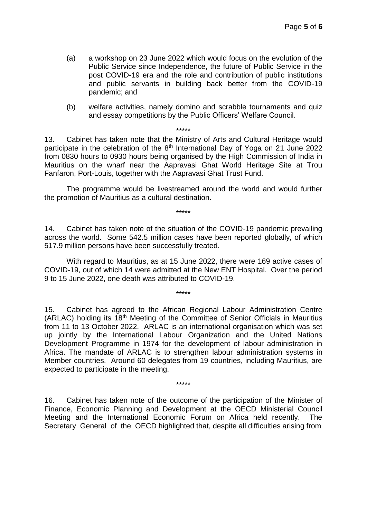- (a) a workshop on 23 June 2022 which would focus on the evolution of the Public Service since Independence, the future of Public Service in the post COVID-19 era and the role and contribution of public institutions and public servants in building back better from the COVID-19 pandemic; and
- (b) welfare activities, namely domino and scrabble tournaments and quiz and essay competitions by the Public Officers' Welfare Council.

13. Cabinet has taken note that the Ministry of Arts and Cultural Heritage would participate in the celebration of the  $8<sup>th</sup>$  International Day of Yoga on 21 June 2022 from 0830 hours to 0930 hours being organised by the High Commission of India in Mauritius on the wharf near the Aapravasi Ghat World Heritage Site at Trou Fanfaron, Port-Louis, together with the Aapravasi Ghat Trust Fund.

\*\*\*\*\*

The programme would be livestreamed around the world and would further the promotion of Mauritius as a cultural destination.

\*\*\*\*\*

14. Cabinet has taken note of the situation of the COVID-19 pandemic prevailing across the world. Some 542.5 million cases have been reported globally, of which 517.9 million persons have been successfully treated.

With regard to Mauritius, as at 15 June 2022, there were 169 active cases of COVID-19, out of which 14 were admitted at the New ENT Hospital. Over the period 9 to 15 June 2022, one death was attributed to COVID-19.

\*\*\*\*\*

15. Cabinet has agreed to the African Regional Labour Administration Centre (ARLAC) holding its 18<sup>th</sup> Meeting of the Committee of Senior Officials in Mauritius from 11 to 13 October 2022. ARLAC is an international organisation which was set up jointly by the International Labour Organization and the United Nations Development Programme in 1974 for the development of labour administration in Africa. The mandate of ARLAC is to strengthen labour administration systems in Member countries. Around 60 delegates from 19 countries, including Mauritius, are expected to participate in the meeting.

16. Cabinet has taken note of the outcome of the participation of the Minister of Finance, Economic Planning and Development at the OECD Ministerial Council Meeting and the International Economic Forum on Africa held recently. The Secretary General of the OECD highlighted that, despite all difficulties arising from